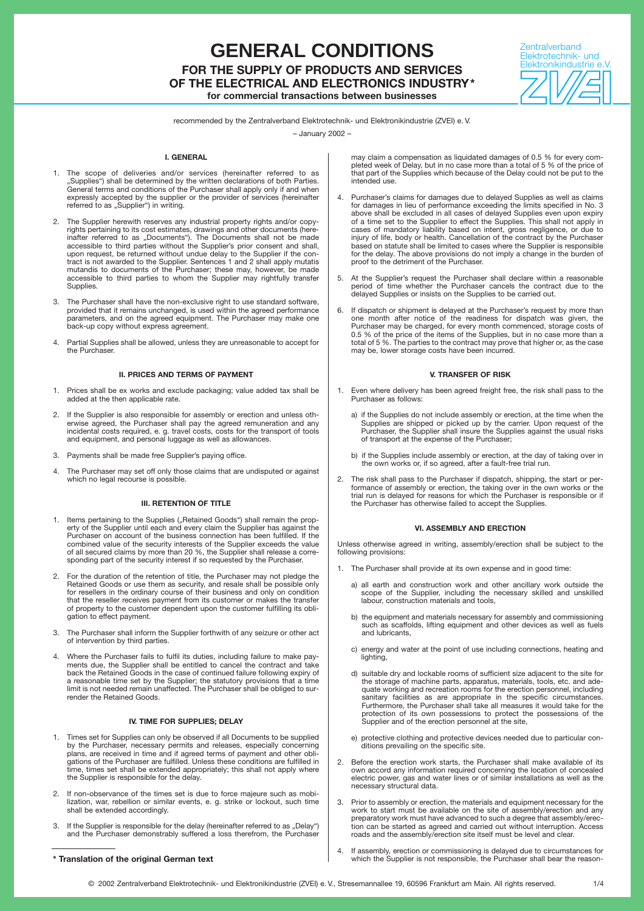# **GENERAL CONDITIONS FOR THE SUPPLY OF PRODUCTS AND SERVICES OF THE ELECTRICAL AND ELECTRONICS INDUSTRY\***

**for commercial transactions between businesses**



recommended by the Zentralverband Elektrotechnik- und Elektronikindustrie (ZVEI) e. V.

– January 2002 –

### **I. GENERAL**

- 1. The scope of deliveries and/or services (hereinafter referred to as Supplies") shall be determined by the written declarations of both Parties. General terms and conditions of the Purchaser shall apply only if and when expressly accepted by the supplier or the provider of services (hereinafter referred to as "Supplier") in writing.
- 2. The Supplier herewith reserves any industrial property rights and/or copyrights pertaining to its cost estimates, drawings and other documents (here-inafter referred to as "Documents"). The Documents shall not be made accessible to third parties without the Supplier's prior consent and shall, upon request, be returned without undue delay to the Supplier if the con-tract is not awarded to the Supplier. Sentences 1 and 2 shall apply mutatis mutandis to documents of the Purchaser; these may, however, be made accessible to third parties to whom the Supplier may rightfully transfer Supplies.
- 3. The Purchaser shall have the non-exclusive right to use standard software, provided that it remains unchanged, is used within the agreed performance parameters, and on the agreed equipment. The Purchaser may make one back-up copy without express agreement.
- 4. Partial Supplies shall be allowed, unless they are unreasonable to accept for the Purchaser.

# **II. PRICES AND TERMS OF PAYMENT**

- 1. Prices shall be ex works and exclude packaging; value added tax shall be added at the then applicable rate.
- 2. If the Supplier is also responsible for assembly or erection and unless oth-<br>erwise agreed, the Purchaser shall pay the agreed remuneration and any<br>incidental costs required, e. g. travel costs, costs for the transport and equipment, and personal luggage as well as allowances.
- 3. Payments shall be made free Supplier's paying office.
- The Purchaser may set off only those claims that are undisputed or against which no legal recourse is possible.

# **III. RETENTION OF TITLE**

- 1. Items pertaining to the Supplies ("Retained Goods") shall remain the property of the Supplier until each and every claim the Supplier has against the Purchaser on account of the business connection has been fulfilled. If the combined value of the security interests of the Supplier exceeds the value of all secured claims by more than 20 %, the Supplier shall release a corresponding part of the security interest if so requested by the Purchaser.
- 2. For the duration of the retention of title, the Purchaser may not pledge the Retained Goods or use them as security, and resale shall be possible only for resellers in the ordinary course of their business and only on condition that the reseller receives payment from its customer or makes the transfer of property to the customer dependent upon the customer fulfilling its obligation to effect payment.
- 3. The Purchaser shall inform the Supplier forthwith of any seizure or other act of intervention by third parties.
- 4. Where the Purchaser fails to fulfil its duties, including failure to make pay-ments due, the Supplier shall be entitled to cancel the contract and take back the Retained Goods in the case of continued failure following expiry of<br>a reasonable time set by the Supplier; the statutory provisions that a time<br>limit is not needed remain unaffected. The Purchaser shall be obliged render the Retained Goods.

# **IV. TIME FOR SUPPLIES; DELAY**

- Times set for Supplies can only be observed if all Documents to be supplied by the Purchaser, necessary permits and releases, especially concerning plans, are received in time and if agreed terms of payment and other obligations of the Purchaser are fulfilled. Unless these conditions are fulfilled in time, times set shall be extended appropriately; this shall not apply where the Supplier is responsible for the delay.
- 2. If non-observance of the times set is due to force majeure such as mobi-lization, war, rebellion or similar events, e. g. strike or lockout, such time shall be extended accordingly.
- 3. If the Supplier is responsible for the delay (hereinafter referred to as "Delay") and the Purchaser demonstrably suffered a loss therefrom, the Purchaser

may claim a compensation as liquidated damages of 0.5 % for every com-<br>pleted week of Delay, but in no case more than a total of 5 % of the price of<br>that part of the Supplies which because of the Delay could not be put to intended use.

- 4. Purchaser's claims for damages due to delayed Supplies as well as claims for damages in lieu of performance exceeding the limits specified in No. 3<br>above shall be excluded in all cases of delayed Supplies even upon expiry<br>of a time set to the Supplier to effect the Supplies. This shall not appl cases of mandatory liability based on intent, gross negligence, or due to injury of life, body or health. Cancellation of the contract by the Purchaser based on statute shall be limited to cases where the Supplier is responsible for the delay. The above provisions do not imply a change in the burden of proof to the detriment of the Purchaser.
- 5. At the Supplier's request the Purchaser shall declare within a reasonable period of time whether the Purchaser cancels the contract due to the delayed Supplies or insists on the Supplies to be carried out.
- 6. If dispatch or shipment is delayed at the Purchaser's request by more than one month after notice of the readiness for dispatch was given, the Purchaser may be charged, for every month commenced, storage costs of<br>0.5 % of the price of the items of the Supplies, but in no case more than a<br>total of 5 %. The parties to the contract may prove that higher or, as the c may be, lower storage costs have been incurred.

# **V. TRANSFER OF RISK**

- 1. Even where delivery has been agreed freight free, the risk shall pass to the Purchaser as follows:
	- a) if the Supplies do not include assembly or erection, at the time when the Supplies are shipped or picked up by the carrier. Upon request of the Purchaser, the Supplier shall insure the Supplies against the usual risks of transport at the expense of the Purchaser;
	- b) if the Supplies include assembly or erection, at the day of taking over in the own works or, if so agreed, after a fault-free trial run.
- 2. The risk shall pass to the Purchaser if dispatch, shipping, the start or performance of assembly or erection, the taking over in the own works or the trial run is delayed for reasons for which the Purchaser is responsible or if the Purchaser has otherwise failed to accept the Supplies.

# **VI. ASSEMBLY AND ERECTION**

Unless otherwise agreed in writing, assembly/erection shall be subject to the following provisions:

- 1. The Purchaser shall provide at its own expense and in good time:
	- a) all earth and construction work and other ancillary work outside the scope of the Supplier, including the necessary skilled and unskilled labour, construction materials and tools,
	- b) the equipment and materials necessary for assembly and commissioning such as scaffolds, lifting equipment and other devices as well as fuels and lubricants,
	- c) energy and water at the point of use including connections, heating and lighting.
	- d) suitable dry and lockable rooms of sufficient size adjacent to the site for the storage of machine parts, apparatus, materials, tools, etc. and ade-quate working and recreation rooms for the erection personnel, including sanitary facilities as are appropriate in the specific circumstances. Furthermore, the Purchaser shall take all measures it would take for the protection of its own possessions to protect the possessions of the Supplier and of the erection personnel at the site,
	- e) protective clothing and protective devices needed due to particular conditions prevailing on the specific site.
- Before the erection work starts, the Purchaser shall make available of its own accord any information required concerning the location of concealed electric power, gas and water lines or of similar installations as well as the necessary structural data.
- 3. Prior to assembly or erection, the materials and equipment necessary for the work to start must be available on the site of assembly/erection and any preparatory work must have advanced to such a degree that assembly/erec-tion can be started as agreed and carried out without interruption. Access roads and the assembly/erection site itself must be level and clear.
- 4. If assembly, erection or commissioning is delayed due to circumstances for **\* Translation of the original German text** which the Supplier is not responsible, the Purchaser shall bear the reason-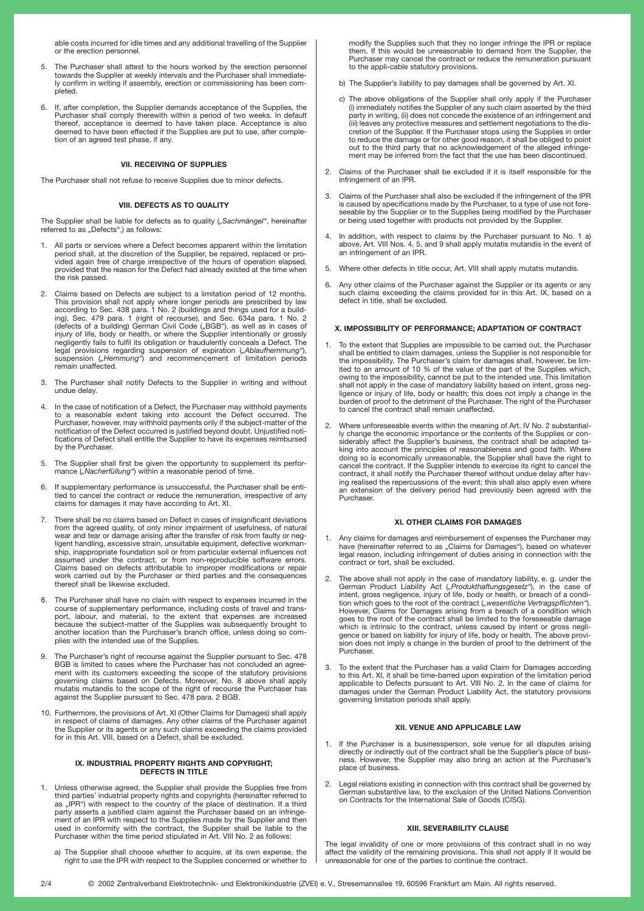able costs incurred for idle times and any additional travelling of the Supplier or the erection personnel.

- 5. The Purchaser shall attest to the hours worked by the erection personnel towards the Supplier at weekly intervals and the Purchaser shall immediately confirm in writing if assembly, erection or commissioning has been completed.
- 6. If, after completion, the Supplier demands acceptance of the Supplies, the Purchaser shall comply therewith within a period of two weeks. In default thereof, acceptance is deemed to have taken place. Acceptance is also deemed to have been effected if the Supplies are put to use, after completion of an agreed test phase, if any.

# **VII. RECEIVING OF SUPPLIES**

The Purchaser shall not refuse to receive Supplies due to minor defects.

# **VIII. DEFECTS AS TO QUALITY**

The Supplier shall be liable for defects as to quality (*"Sachmängel"*, hereinafter referred to as "Defects",) as follows:

- 1. All parts or services where a Defect becomes apparent within the limitation period shall, at the discretion of the Supplier, be repaired, replaced or pro-vided again free of charge irrespective of the hours of operation elapsed, provided that the reason for the Defect had already existed at the time when the risk passed.
- 2. Claims based on Defects are subject to a limitation period of 12 months. This provision shall not apply where longer periods are prescribed by law<br>according to Sec. 438 para. 1 No. 2 (buildings and things used for a build-<br>ing), Sec. 479 para. 1 (right of recourse), and Sec. 634a para. 1 No. 2
- 3. The Purchaser shall notify Defects to the Supplier in writing and without undue delay.
- 4. In the case of notification of a Defect, the Purchaser may withhold payments to a reasonable extent taking into account the Defect occurred. The Purchaser, however, may withhold payments only if the subject-matter of the notification of the Defect occurred is justified beyond doubt. Unjustified notifications of Defect shall entitle the Supplier to have its expenses reimbursed by the Purchaser.
- 5. The Supplier shall first be given the opportunity to supplement its perfor-mance (*"Nacherfüllung"*) within a reasonable period of time.
- 6. If supplementary performance is unsuccessful, the Purchaser shall be enti-tled to cancel the contract or reduce the remuneration, irrespective of any claims for damages it may have according to Art. XI.
- There shall be no claims based on Defect in cases of insignificant deviations from the agreed quality, of only minor impairment of usefulness, of natural<br>wear and tear or damage arising after the transfer of risk from faulty or neg-<br>ligent handling, excessive strain, unsuitable equipment, defective ship, inappropriate foundation soil or from particular external influences not assumed under the contract, or from non-reproducible software errors.<br>Claims based on defects attributable to improper modifications or repair<br>work carried out by the Purchaser or third parties and the consequences<br>thereof
- 8. The Purchaser shall have no claim with respect to expenses incurred in the course of supplementary performance, including costs of travel and transport, labour, and material, to the extent that expenses are increased be plies with the intended use of the Supplies.
- 9. The Purchaser's right of recourse against the Supplier pursuant to Sec. 478 BGB is limited to cases where the Purchaser has not concluded an agreement with its customers exceeding the scope of the statutory provisions<br>governing claims based on Defects. Moreover, No. 8 above shall apply<br>mutatis mutandis to the scope of the right of recourse the Purchaser has<br>against
- 10. Furthermore, the provisions of Art. XI (Other Claims for Damages) shall apply in respect of claims of damages. Any other claims of the Purchaser against the Supplier or its agents or any such claims exceeding the claims provided for in this Art. VIII, based on a Defect, shall be excluded.

# **IX. INDUSTRIAL PROPERTY RIGHTS AND COPYRIGHT; DEFECTS IN TITLE**

- 1. Unless otherwise agreed, the Supplier shall provide the Supplies free from third parties' industrial property rights and copyrights (hereinafter referred to as "IPR") with respect to the country of the place of destination. If a third<br>party asserts a justified claim against the Purchaser based on an infringement of an IPR with respect to the Supplies made by the Supplier and then used in conformity with the contract, the Supplier shall be liable to the Purchaser within the time period stipulated in Art. VIII No. 2 as follows:
	- a) The Supplier shall choose whether to acquire, at its own expense, the right to use the IPR with respect to the Supplies concerned or whether to

modify the Supplies such that they no longer infringe the IPR or replace them. If this would be unreasonable to demand from the Supplier, the Purchaser may cancel the contract or reduce the remuneration pursuant to the appli-cable statutory provisions.

- b) The Supplier's liability to pay damages shall be governed by Art. XI.
- c) The above obligations of the Supplier shall only apply if the Purchaser<br>i) immediately notifies the Supplier of any such claim asserted by the third)<br>party in writing, (ii) does not concede the existence of an infringem (iii) leaves any protective measures and settlement negotiations to the dis-cretion of the Supplier. If the Purchaser stops using the Supplies in order to reduce the damage or for other good reason, it shall be obliged to point out to the third party that no acknowledgement of the alleged infringe-ment may be inferred from the fact that the use has been discontinued.
- 2. Claims of the Purchaser shall be excluded if it is itself responsible for the infringement of an IPR.
- 3. Claims of the Purchaser shall also be excluded if the infringement of the IPR<br>-is caused by specifications made by the Purchaser, to a type of use not fore<br>seeable by the Supplier or to the Supplies being modified by th or being used together with products not provided by the Supplier.
- 4. In addition, with respect to claims by the Purchaser pursuant to No. 1 a) above, Art. VIII Nos. 4, 5, and 9 shall apply mutatis mutandis in the event of an infringement of an IPR.
- 5. Where other defects in title occur, Art. VIII shall apply mutatis mutandis.
- 6. Any other claims of the Purchaser against the Supplier or its agents or any such claims exceeding the claims provided for in this Art. IX, based on a defect in title, shall be excluded.

# **X. IMPOSSIBILITY OF PERFORMANCE; ADAPTATION OF CONTRACT**

- 1. To the extent that Supplies are impossible to be carried out, the Purchaser shall be entitled to claim damages, unless the Supplier is not responsible for the impossibility. The Purchaser's claim for damages shall, however, be lim-<br>ited to an amount of 10 % of the value of the part of the Supplies which,<br>owing to the impossibility, cannot be put to the intended use. This lim shall not apply in the case of mandatory liability based on intent, gross neg-<br>ligence or injury of life, body or health; this does not imply a change in the<br>burden of proof to the detriment of the Purchaser. The right of to cancel the contract shall remain unaffected.
- 2. Where unforeseeable events within the meaning of Art. IV No. 2 substantially change the economic importance or the contents of the Supplies or considerably affect the Supplier's business, the contract shall be adapted ta-king into account the principles of reasonableness and good faith. Where doing so is economically unreasonable, the Supplier shall have the right to cancel the contract. If the Supplier intends to exercise its right to cancel the<br>contract, it shall notify the Purchaser thereof without undue delay after hav-<br>ing realised the repercussions of the event; this shall also a Purchaser.

## **XI. OTHER CLAIMS FOR DAMAGES**

- 1. Any claims for damages and reimbursement of expenses the Purchaser may have (hereinafter referred to as "Claims for Damages"), based on whatever legal reason, including infringement of duties arising in connection with
- 2. The above shall not apply in the case of mandatory liability, e. g. under the German Product Liability Act ("Produkthaftungsgesetz"), in the case of intent, gross negligence, injury of life, body or health, or breach of tion which goes to the root of the contract ("*wesentliche Vertragspflichten"*).<br>However, Claims for Damages arising from a breach of a condition which goes to the root of the contract shall be limited to the foreseeable damage which is intrinsic to the contract, unless caused by intent or gross negli-gence or based on liability for injury of life, body or health. The above provision does not imply a change in the burden of proof to the detriment of the Purchaser.
- To the extent that the Purchaser has a valid Claim for Damages according to this Art. XI, it shall be time-barred upon expiration of the limitation period applicable to Defects pursuant to Art. VIII No. 2. In the case of claims for damages under the German Product Liability Act, the statutory provisions governing limitation periods shall apply.

# **XII. VENUE AND APPLICABLE LAW**

- 1. If the Purchaser is a businessperson, sole venue for all disputes arising directly or indirectly out of the contract shall be the Supplier's place of busi-ness. However, the Supplier may also bring an action at the Purchaser's place of business.
- 2. Legal relations existing in connection with this contract shall be governed by German substantive law, to the exclusion of the United Nations Convention on Contracts for the International Sale of Goods (CISG).

#### **XIII. SEVERABILITY CLAUSE**

The legal invalidity of one or more provisions of this contract shall in no way affect the validity of the remaining provisions. This shall not apply if it would be unreasonable for one of the parties to continue the contract.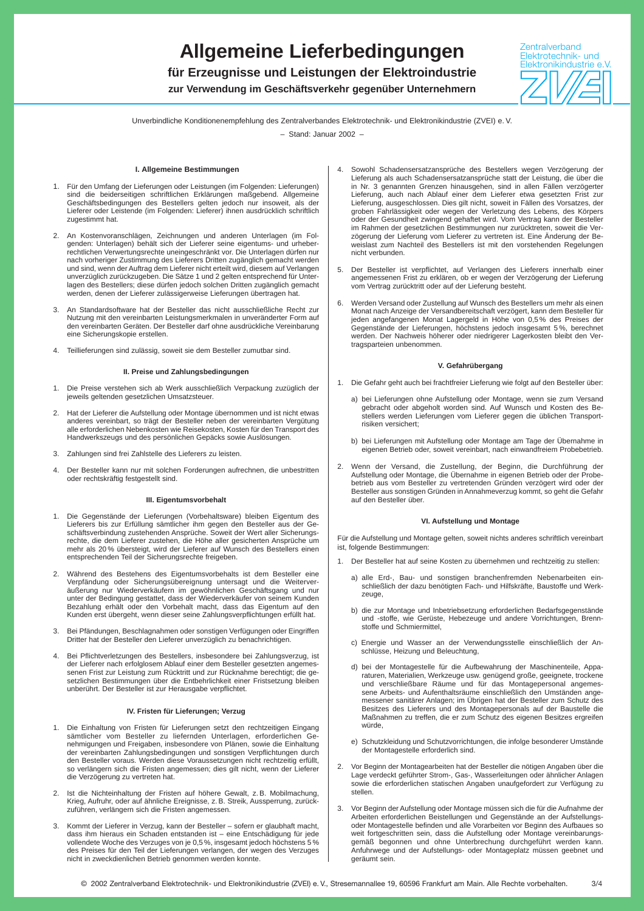# **Allgemeine Lieferbedingungen**

**für Erzeugnisse und Leistungen der Elektroindustrie**

**zur Verwendung im Geschäftsverkehr gegenüber Unternehmern**



Unverbindliche Konditionenempfehlung des Zentralverbandes Elektrotechnik- und Elektronikindustrie (ZVEI) e. V.

– Stand: Januar 2002 –

# **I. Allgemeine Bestimmungen**

- 1. Für den Umfang der Lieferungen oder Leistungen (im Folgenden: Lieferungen) sind die beiderseitigen schriftlichen Erklärungen maßgebend. Allgemeine Geschäftsbedingungen des Bestellers gelten jedoch nur insoweit, als der Lieferer oder Leistende (im Folgenden: Lieferer) ihnen ausdrücklich schriftlich zugestimmt hat.
- 2. An Kostenvoranschlägen, Zeichnungen und anderen Unterlagen (im Fol-genden: Unterlagen) behält sich der Lieferer seine eigentums- und urheberrechtlichen Verwertungsrechte uneingeschränkt vor. Die Unterlagen dürfen nur nach vorheriger Zustimmung des Lieferers Dritten zugänglich gemacht werden und sind, wenn der Auftrag dem Lieferer nicht erteilt wird, diesem auf Verlangen unverzüglich zurückzugeben. Die Sätze 1 und 2 gelten entsprechend für Unterlagen des Bestellers; diese dürfen jedoch solchen Dritten zugänglich gemacht werden, denen der Lieferer zulässigerweise Lieferungen übertragen hat.
- 3. An Standardsoftware hat der Besteller das nicht ausschließliche Recht zur Nutzung mit den vereinbarten Leistungsmerkmalen in unveränderter Form auf den vereinbarten Geräten. Der Besteller darf ohne ausdrückliche Vereinbarung eine Sicherungskopie erstellen.
- 4. Teillieferungen sind zulässig, soweit sie dem Besteller zumutbar sind.

### **II. Preise und Zahlungsbedingungen**

- 1. Die Preise verstehen sich ab Werk ausschließlich Verpackung zuzüglich der jeweils geltenden gesetzlichen Umsatzsteuer.
- 2. Hat der Lieferer die Aufstellung oder Montage übernommen und ist nicht etwas anderes vereinbart, so trägt der Besteller neben der vereinbarten Vergütung alle erforderlichen Nebenkosten wie Reisekosten, Kosten für den Transport des Handwerkszeugs und des persönlichen Gepäcks sowie Auslösungen.
- 3. Zahlungen sind frei Zahlstelle des Lieferers zu leisten.
- 4. Der Besteller kann nur mit solchen Forderungen aufrechnen, die unbestritten oder rechtskräftig festgestellt sind.

#### **III. Eigentumsvorbehalt**

- 1. Die Gegenstände der Lieferungen (Vorbehaltsware) bleiben Eigentum des Lieferers bis zur Erfüllung sämtlicher ihm gegen den Besteller aus der Ge-schäftsverbindung zustehenden Ansprüche. Soweit der Wert aller Sicherungs-rechte, die dem Lieferer zustehen, die Höhe aller gesicherten Ansprüche um mehr als 20 % übersteigt, wird der Lieferer auf Wunsch des Bestellers einen entsprechenden Teil der Sicherungsrechte freigeben.
- 2. Während des Bestehens des Eigentumsvorbehalts ist dem Besteller eine Verpfändung oder Sicherungsübereignung untersagt und die Weiterveräußerung nur Wiederverkäufern im gewöhnlichen Geschäftsgang und nur unter der Bedingung gestattet, dass der Wiederverkäufer von seinem Kunden Bezahlung erhält oder den Vorbehalt macht, dass das Eigentum auf den Kunden erst übergeht, wenn dieser seine Zahlungsverpflichtungen erfüllt hat.
- 3. Bei Pfändungen, Beschlagnahmen oder sonstigen Verfügungen oder Eingriffen Dritter hat der Besteller den Lieferer unverzüglich zu benachrichtigen.
- 4. Bei Pflichtverletzungen des Bestellers, insbesondere bei Zahlungsverzug, ist der Lieferer nach erfolglosem Ablauf einer dem Besteller gesetzten angemessenen Frist zur Leistung zum Rücktritt und zur Rücknahme berechtigt; die gesetzlichen Bestimmungen über die Entbehrlichkeit einer Fristsetzung bleiben unberührt. Der Besteller ist zur Herausgabe verpflichtet.

### **IV. Fristen für Lieferungen; Verzug**

- 1. Die Einhaltung von Fristen für Lieferungen setzt den rechtzeitigen Eingang sämtlicher vom Besteller zu liefernden Unterlagen, erforderlichen Ge-nehmigungen und Freigaben, insbesondere von Plänen, sowie die Einhaltung der vereinbarten Zahlungsbedingungen und sonstigen Verpflichtungen durch den Besteller voraus. Werden diese Voraussetzungen nicht rechtzeitig erfüllt, so verlängern sich die Fristen angemessen; dies gilt nicht, wenn der Lieferer die Verzögerung zu vertreten hat.
- 2. Ist die Nichteinhaltung der Fristen auf höhere Gewalt, z. B. Mobilmachung, Krieg, Aufruhr, oder auf ähnliche Ereignisse, z. B. Streik, Aussperrung, zurückzuführen, verlängern sich die Fristen angemessen.
- 3. Kommt der Lieferer in Verzug, kann der Besteller sofern er glaubhaft macht, dass ihm hieraus ein Schaden entstanden ist – eine Entschädigung für jede vollendete Woche des Verzuges von je 0,5 %, insgesamt jedoch höchstens 5 % des Preises für den Teil der Lieferungen verlangen, der wegen des Verzuges nicht in zweckdienlichen Betrieb genommen werden konnte.
- 4. Sowohl Schadensersatzansprüche des Bestellers wegen Verzögerung der Lieferung als auch Schadensersatzansprüche statt der Leistung, die über die in Nr. 3 genannten Grenzen hinausgehen, sind in allen Fällen verzögerter Lieferung, auch nach Ablauf einer dem Lieferer etwa gesetzten Frist zur Lieferung, ausgeschlossen. Dies gilt nicht, soweit in Fällen des Vorsatzes, der groben Fahrlässigkeit oder wegen der Verletzung des Lebens, des Körpers oder der Gesundheit zwingend gehaftet wird. Vom Vertrag kann der Besteller im Rahmen der gesetzlichen Bestimmungen nur zurücktreten, soweit die Verzögerung der Lieferung vom Lieferer zu vertreten ist. Eine Änderung der Beweislast zum Nachteil des Bestellers ist mit den vorstehenden Regelungen nicht verbunden.
- 5. Der Besteller ist verpflichtet, auf Verlangen des Lieferers innerhalb einer angemessenen Frist zu erklären, ob er wegen der Verzögerung der Lieferung vom Vertrag zurücktritt oder auf der Lieferung besteht.
- 6. Werden Versand oder Zustellung auf Wunsch des Bestellers um mehr als einen Monat nach Anzeige der Versandbereitschaft verzögert, kann dem Besteller für jeden angefangenen Monat Lagergeld in Höhe von 0,5 % des Preises der Gegenstände der Lieferungen, höchstens jedoch insgesamt 5 %, berechnet werden. Der Nachweis höherer oder niedrigerer Lagerkosten bleibt den Vertragsparteien unbenommen.

### **V. Gefahrübergang**

- 1. Die Gefahr geht auch bei frachtfreier Lieferung wie folgt auf den Besteller über:
	- a) bei Lieferungen ohne Aufstellung oder Montage, wenn sie zum Versand gebracht oder abgeholt worden sind. Auf Wunsch und Kosten des Bestellers werden Lieferungen vom Lieferer gegen die üblichen Transportrisiken versichert;
	- b) bei Lieferungen mit Aufstellung oder Montage am Tage der Übernahme in eigenen Betrieb oder, soweit vereinbart, nach einwandfreiem Probebetrieb.
- 2. Wenn der Versand, die Zustellung, der Beginn, die Durchführung der Aufstellung oder Montage, die Übernahme in eigenen Betrieb oder der Probe-betrieb aus vom Besteller zu vertretenden Gründen verzögert wird oder der Besteller aus sonstigen Gründen in Annahmeverzug kommt, so geht die Gefahr auf den Besteller über.

### **VI. Aufstellung und Montage**

Für die Aufstellung und Montage gelten, soweit nichts anderes schriftlich vereinbart ist, folgende Bestimmungen:

- 1. Der Besteller hat auf seine Kosten zu übernehmen und rechtzeitig zu stellen:
	- a) alle Erd-, Bau- und sonstigen branchenfremden Nebenarbeiten einschließlich der dazu benötigten Fach- und Hilfskräfte, Baustoffe und Werkzeuge,
	- b) die zur Montage und Inbetriebsetzung erforderlichen Bedarfsgegenstände und -stoffe, wie Gerüste, Hebezeuge und andere Vorrichtungen, Brennstoffe und Schmiermittel,
	- c) Energie und Wasser an der Verwendungsstelle einschließlich der Anschlüsse, Heizung und Beleuchtung,
	- d) bei der Montagestelle für die Aufbewahrung der Maschinenteile, Apparaturen, Materialien, Werkzeuge usw. genügend große, geeignete, trockene und verschließbare Räume und für das Montagepersonal angemessene Arbeits- und Aufenthaltsräume einschließlich den Umständen angemessener sanitärer Anlagen; im Übrigen hat der Besteller zum Schutz des Besitzes des Lieferers und des Montagepersonals auf der Baustelle die Maßnahmen zu treffen, die er zum Schutz des eigenen Besitzes ergreifen würde,
	- e) Schutzkleidung und Schutzvorrichtungen, die infolge besonderer Umstände der Montagestelle erforderlich sind.
- 2. Vor Beginn der Montagearbeiten hat der Besteller die nötigen Angaben über die Lage verdeckt geführter Strom-, Gas-, Wasserleitungen oder ähnlicher Anlagen sowie die erforderlichen statischen Angaben unaufgefordert zur Verfügung zu stellen.
- 3. Vor Beginn der Aufstellung oder Montage müssen sich die für die Aufnahme der Arbeiten erforderlichen Beistellungen und Gegenstände an der Aufstellungsoder Montagestelle befinden und alle Vorarbeiten vor Beginn des Aufbaues so weit fortgeschritten sein, dass die Aufstellung oder Montage vereinbarungs-gemäß begonnen und ohne Unterbrechung durchgeführt werden kann. Anfuhrwege und der Aufstellungs- oder Montageplatz müssen geebnet und geräumt sein.